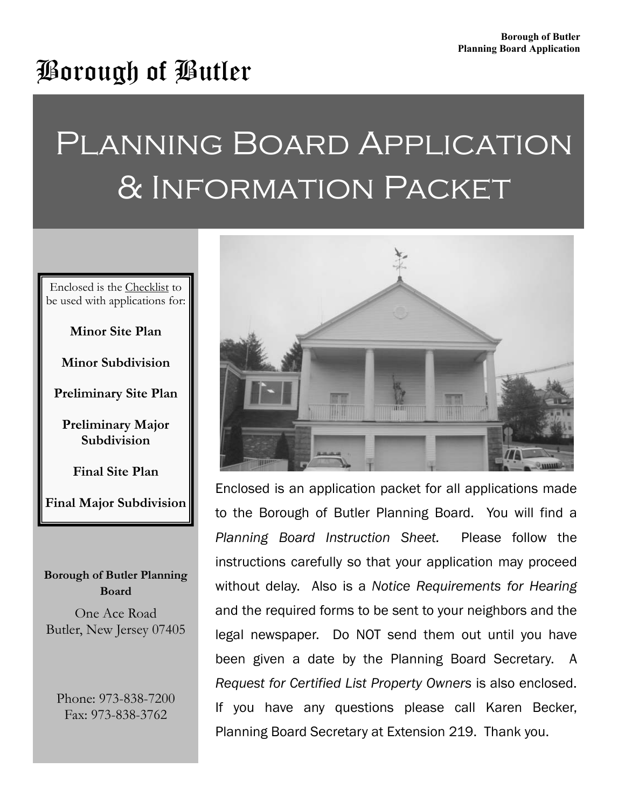## Borough of Butler

# Planning Board Application & Information Packet

Enclosed is the Checklist to be used with applications for:

#### **Minor Site Plan**

**Minor Subdivision** 

**Preliminary Site Plan** 

**Preliminary Major Subdivision** 

**Final Site Plan** 

**Final Major Subdivision** 

#### **Borough of Butler Planning Board**

One Ace Road Butler, New Jersey 07405

Phone: 973-838-7200 Fax: 973-838-3762



Enclosed is an application packet for all applications made to the Borough of Butler Planning Board. You will find a *Planning Board Instruction Sheet.* Please follow the instructions carefully so that your application may proceed without delay. Also is a *Notice Requirements for Hearing* and the required forms to be sent to your neighbors and the legal newspaper. Do NOT send them out until you have been given a date by the Planning Board Secretary. A *Request for Certified List Property Owners* is also enclosed. If you have any questions please call Karen Becker, Planning Board Secretary at Extension 219. Thank you.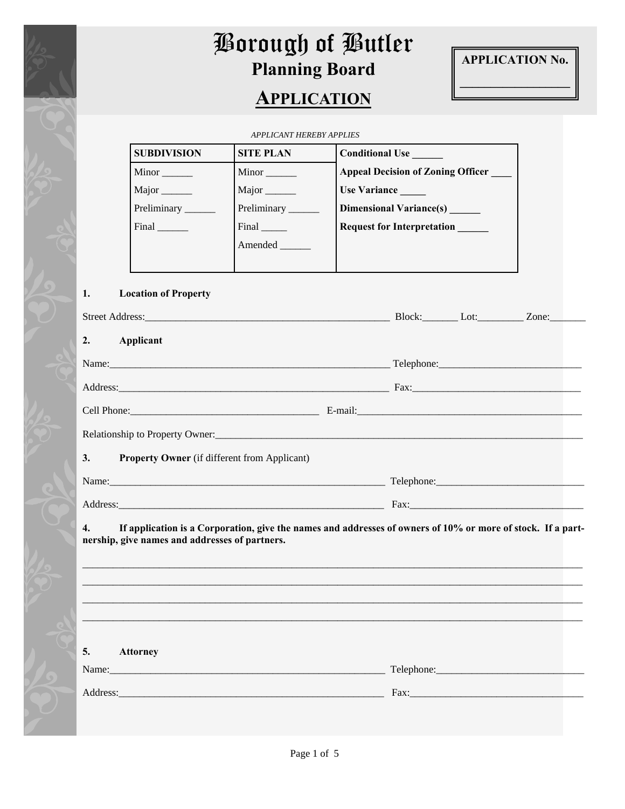

## **Borough of Butler** Borough of Butler **Planning Board Application Planning Board**

## **APPLICATION**



**\_\_\_\_\_\_\_\_\_\_\_\_\_\_\_\_\_\_** 

*APPLICANT HEREBY APPLIES* 

| <b>SUBDIVISION</b>      | <b>SITE PLAN</b>          | <b>Conditional Use</b>                   |
|-------------------------|---------------------------|------------------------------------------|
| Minor                   | Minor                     | <b>Appeal Decision of Zoning Officer</b> |
| Major                   | Major                     | Use Variance                             |
| Preliminary <u>____</u> | Preliminary               | <b>Dimensional Variance(s)</b>           |
| Final                   | $Final$ <sub>______</sub> | <b>Request for Interpretation</b>        |
|                         | Amended                   |                                          |
|                         |                           |                                          |

#### **1. Location of Property**

| Street Address: No. 2014. The Street Address:                                                                                                                                                                                  |         | Block: Lot: Zone: |  |
|--------------------------------------------------------------------------------------------------------------------------------------------------------------------------------------------------------------------------------|---------|-------------------|--|
| 2.<br>Applicant                                                                                                                                                                                                                |         |                   |  |
| Name:                                                                                                                                                                                                                          |         |                   |  |
| Address: Andreas Address: Address: Address: Address: Address: Address: Address: Address: Address: Address: Address: Address: Address: Address: Address: Address: Address: Address: Address: Address: Address: Address: Address |         | Fax: Fax:         |  |
| Cell Phone: 2000 Phone: 2000 Phone: 2000 Phone: 2000 Phone: 2000 Phone: 2000 Phone: 2000 Phone: 2000 Phone: 2000 Phone: 2000 Phone: 2000 Phone: 2000 Phone: 2000 Phone: 2000 Phone: 2000 Phone: 2000 Phone: 2000 Phone: 2000 P | E-mail: |                   |  |
|                                                                                                                                                                                                                                |         |                   |  |
| 3. Property Owner (if different from Applicant)                                                                                                                                                                                |         |                   |  |
| Name: Name and the set of the set of the set of the set of the set of the set of the set of the set of the set of the set of the set of the set of the set of the set of the set of the set of the set of the set of the set o |         | Telephone: 2000   |  |
|                                                                                                                                                                                                                                |         |                   |  |

**4. If application is a Corporation, give the names and addresses of owners of 10% or more of stock. If a partnership, give names and addresses of partners.**

| 5.<br><b>Attorney</b>                                                                                                                                                                                                          |                                                                                                                                                                                                                                |
|--------------------------------------------------------------------------------------------------------------------------------------------------------------------------------------------------------------------------------|--------------------------------------------------------------------------------------------------------------------------------------------------------------------------------------------------------------------------------|
|                                                                                                                                                                                                                                |                                                                                                                                                                                                                                |
| Address: the contract of the contract of the contract of the contract of the contract of the contract of the contract of the contract of the contract of the contract of the contract of the contract of the contract of the c | Fax: The contract of the contract of the contract of the contract of the contract of the contract of the contract of the contract of the contract of the contract of the contract of the contract of the contract of the contr |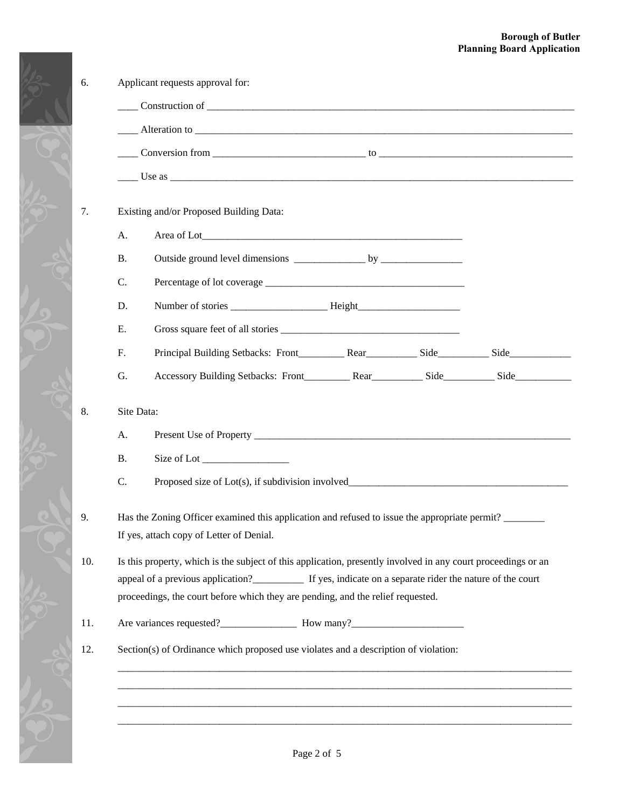#### **Borough of Butler Planning Board Application**

|            | $\frac{1}{2}$ Use as $\frac{1}{2}$                                                                            |
|------------|---------------------------------------------------------------------------------------------------------------|
|            | Existing and/or Proposed Building Data:                                                                       |
| А.         |                                                                                                               |
| <b>B.</b>  |                                                                                                               |
| C.         |                                                                                                               |
| D.         |                                                                                                               |
| Ε.         |                                                                                                               |
| F.         |                                                                                                               |
| G.         |                                                                                                               |
| Site Data: |                                                                                                               |
| А.         |                                                                                                               |
| <b>B.</b>  | Size of Lot                                                                                                   |
| C.         | Proposed size of Lot(s), if subdivision involved_________________________________                             |
|            | Has the Zoning Officer examined this application and refused to issue the appropriate permit?                 |
|            | If yes, attach copy of Letter of Denial.                                                                      |
|            | Is this property, which is the subject of this application, presently involved in any court proceedings or an |
|            | appeal of a previous application?______________ If yes, indicate on a separate rider the nature of the court  |
|            | proceedings, the court before which they are pending, and the relief requested.                               |
|            | Are variances requested?<br><u>Mow many?</u><br>How many?<br><u>Mow many?</u>                                 |
|            | Section(s) of Ordinance which proposed use violates and a description of violation:                           |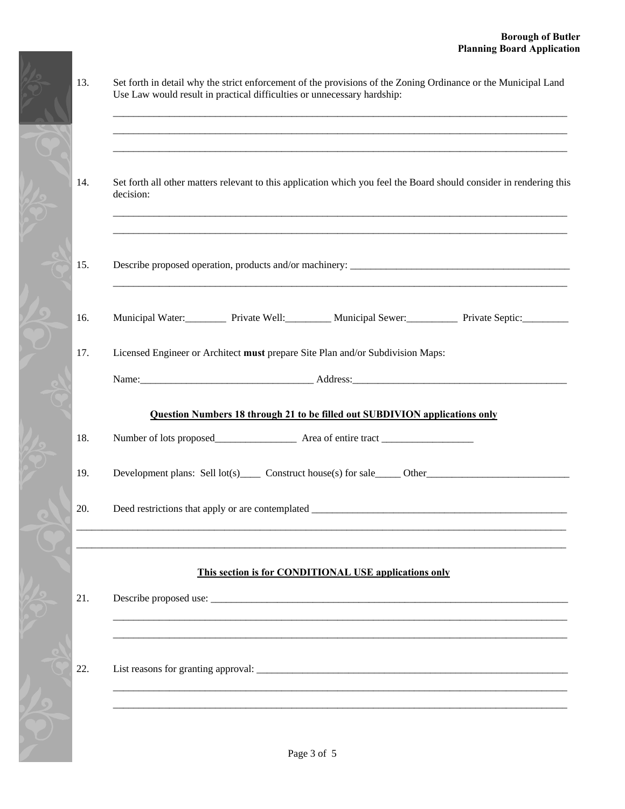| Use Law would result in practical difficulties or unnecessary hardship:                                                          |
|----------------------------------------------------------------------------------------------------------------------------------|
| Set forth all other matters relevant to this application which you feel the Board should consider in rendering this<br>decision: |
|                                                                                                                                  |
| Municipal Water: Private Well: Municipal Sewer: Private Septic: Private Communicipal Vater:                                      |
| Licensed Engineer or Architect must prepare Site Plan and/or Subdivision Maps:                                                   |
| Question Numbers 18 through 21 to be filled out SUBDIVION applications only                                                      |
|                                                                                                                                  |
| Development plans: Sell $lot(s)$ Construct house(s) for sale Other Construct numbers of the Construct number of $Out(s)$         |
|                                                                                                                                  |
| This section is for CONDITIONAL USE applications only                                                                            |
|                                                                                                                                  |
|                                                                                                                                  |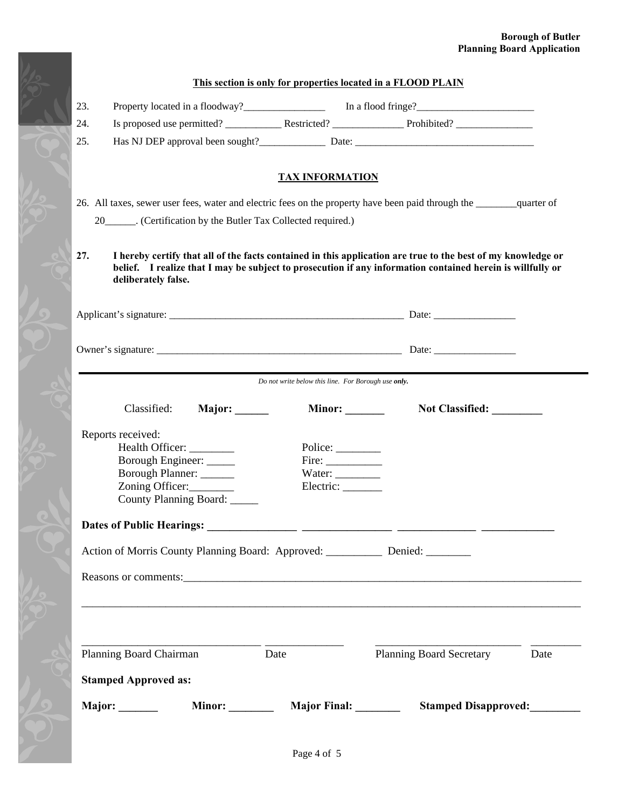#### **Borough of Butler Planning Board Application**

|                                                                                                                                                       | This section is only for properties located in a FLOOD PLAIN |                                                                                                                                                                                                                            |      |
|-------------------------------------------------------------------------------------------------------------------------------------------------------|--------------------------------------------------------------|----------------------------------------------------------------------------------------------------------------------------------------------------------------------------------------------------------------------------|------|
| 23.                                                                                                                                                   |                                                              | Property located in a floodway? In a flood fringe?                                                                                                                                                                         |      |
| 24.                                                                                                                                                   |                                                              |                                                                                                                                                                                                                            |      |
| 25.                                                                                                                                                   |                                                              | Has NJ DEP approval been sought?<br>Date:  Date:                                                                                                                                                                           |      |
|                                                                                                                                                       | <b>TAX INFORMATION</b>                                       |                                                                                                                                                                                                                            |      |
| 26. All taxes, sewer user fees, water and electric fees on the property have been paid through the quarter of                                         |                                                              |                                                                                                                                                                                                                            |      |
| 20_______. (Certification by the Butler Tax Collected required.)                                                                                      |                                                              |                                                                                                                                                                                                                            |      |
| 27.<br>deliberately false.                                                                                                                            |                                                              | I hereby certify that all of the facts contained in this application are true to the best of my knowledge or<br>belief. I realize that I may be subject to prosecution if any information contained herein is willfully or |      |
|                                                                                                                                                       |                                                              |                                                                                                                                                                                                                            |      |
|                                                                                                                                                       |                                                              |                                                                                                                                                                                                                            |      |
|                                                                                                                                                       | Do not write below this line. For Borough use only.          |                                                                                                                                                                                                                            |      |
| Classified:<br>Major: ______                                                                                                                          | Minor: $\_\_$                                                | Not Classified:                                                                                                                                                                                                            |      |
| Reports received:<br>Health Officer: _______<br>Borough Engineer: _____<br>Borough Planner: ______<br>Zoning Officer:<br>County Planning Board: _____ | Police: $\_\_$<br>Fire:<br>Water: $\_\_$<br>Electric:        |                                                                                                                                                                                                                            |      |
| <b>Dates of Public Hearings:</b>                                                                                                                      |                                                              |                                                                                                                                                                                                                            |      |
| Action of Morris County Planning Board: Approved: _________ Denied: _______                                                                           |                                                              |                                                                                                                                                                                                                            |      |
|                                                                                                                                                       |                                                              |                                                                                                                                                                                                                            |      |
|                                                                                                                                                       |                                                              | <u> 1989 - John Stone, Amerikaansk politiker (* 1989)</u>                                                                                                                                                                  |      |
| Planning Board Chairman                                                                                                                               | Date                                                         | <b>Planning Board Secretary</b>                                                                                                                                                                                            | Date |
|                                                                                                                                                       |                                                              |                                                                                                                                                                                                                            |      |
| <b>Stamped Approved as:</b>                                                                                                                           |                                                              |                                                                                                                                                                                                                            |      |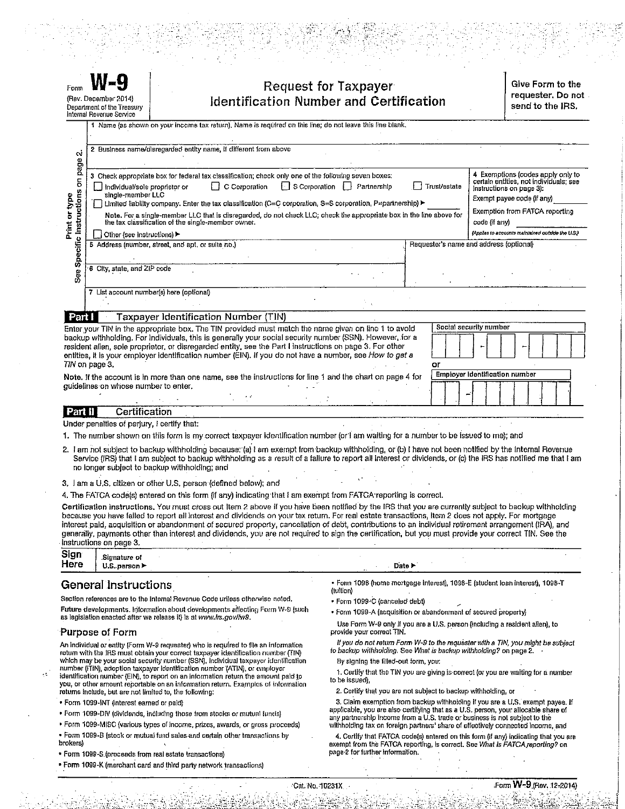| Form                                  | N-Y<br>(Rev. December 2014)<br>Department of the Treasury<br>Internal Revenue Service |                                                                                                                                                                                                                                                                                                                                                                                                                                          |               | Request for Taxpayer<br><b>Identification Number and Certification</b> |                                         |                        |                                                                                                  | Give Form to the<br>requester. Do not<br>send to the IRS. |
|---------------------------------------|---------------------------------------------------------------------------------------|------------------------------------------------------------------------------------------------------------------------------------------------------------------------------------------------------------------------------------------------------------------------------------------------------------------------------------------------------------------------------------------------------------------------------------------|---------------|------------------------------------------------------------------------|-----------------------------------------|------------------------|--------------------------------------------------------------------------------------------------|-----------------------------------------------------------|
|                                       |                                                                                       | 1 Name (as shown on your income tax raturn). Name is required on this line; do not leave this line blank.                                                                                                                                                                                                                                                                                                                                |               |                                                                        |                                         |                        |                                                                                                  |                                                           |
| $\sim$                                |                                                                                       | 2 Business name/disregarded entity name, if different from above                                                                                                                                                                                                                                                                                                                                                                         |               |                                                                        |                                         |                        |                                                                                                  |                                                           |
| on page<br>pol                        | Individual/sole proprietor or<br>single-member LLC                                    | 3 Check appropriate box for federal tax classification; check only one of the following seven boxes:<br>$\Box$ Limited liability company. Enter the tax classification (C=C corporation, S=S corporation, P=partnership)                                                                                                                                                                                                                 | C Corporation | S Corporation   Partnership                                            | Trust/estate                            |                        | certain entities, not individuals; see<br>Instructions on page 3):<br>Exempt payee code (if any) | 4 Exemptions (codes apply only to                         |
| See Specific Instructions<br>Print or | Other (see instructions)                                                              | Note, For a single-member LLC that is disregarded, do not check LLC; check the appropriate box in the line above for<br>the tax classification of the single-member owner.                                                                                                                                                                                                                                                               |               |                                                                        |                                         | code (if any)          | Exemption from FATCA reporting<br>(Applies to accounts maintained outside the U.S.)              |                                                           |
|                                       |                                                                                       | 5 Address (number, street, and apt, or sulte no.)                                                                                                                                                                                                                                                                                                                                                                                        |               |                                                                        | Requester's name and address (optional) |                        |                                                                                                  |                                                           |
|                                       | 6 City, state, and ZIP code                                                           |                                                                                                                                                                                                                                                                                                                                                                                                                                          |               |                                                                        |                                         |                        |                                                                                                  |                                                           |
|                                       | 7 List account number(s) here (optional)                                              |                                                                                                                                                                                                                                                                                                                                                                                                                                          |               |                                                                        |                                         |                        |                                                                                                  |                                                           |
| Part I                                |                                                                                       | Taxpayer Identification Number (TIN)                                                                                                                                                                                                                                                                                                                                                                                                     |               |                                                                        |                                         |                        |                                                                                                  |                                                           |
|                                       | TIN on page 3.                                                                        | Enter your TIN in the appropriate box. The TIN provided must match the name given on line 1 to avoid<br>backup withholding. For individuals, this is generally your social security number (SSN). However, for a<br>resident alien, sole proprietor, or disregarded entity, see the Part I instructions on page 3. For other<br>entities, it is your employer identification number (EIN). If you do not have a number, see How to get a |               |                                                                        | or                                      | Social security number |                                                                                                  |                                                           |
|                                       | guidelines on whose number to enter.                                                  | Note. If the account is in more than one name, see the instructions for line 1 and the chart on page 4 for                                                                                                                                                                                                                                                                                                                               |               |                                                                        |                                         |                        | <b>Employer Identification number</b>                                                            |                                                           |

Certification Part II

Under penalties of perjury, I certify that:

1. The number shown on this form is my correct taxpayer identification number (or I am waiting for a number to be issued to me); and

2. I am not subject to backup withholding because: (a) I am exempt from backup withholding, or (b) I have not been notified by the Internal Revenue Service (IRS) that I am subject to backup withholding as a result of a fallure to report all interest or dividends, or (c) the IRS has notified me that I am no longer subject to backup withholding; and

3. I am a U.S. citizen or other U.S. person (defined below); and

4. The FATCA code(s) entered on this form (if any) indicating that I am exempt from FATCA reporting is correct.

Certification instructions. You must cross out item 2 above if you have been notified by the IRS that you are currently subject to backup withholding because you have falled to report all interest and dividends on your tax return. For real estate transactions, Item 2 does not apply. For mortgage interest paid, acquisition or abandonment of secured proporty, cancellation of debt, contributions to an individual retirement arrangement (IRA), and generally, payments other than interest and dividends, you are not required to sign the certification, but you must provide your correct TIN. See the Instructions on page 3.

|      |                 |  |           |        | $-$ |
|------|-----------------|--|-----------|--------|-----|
| Sign | Signature of    |  |           |        |     |
| Here | parson J<br>U.S |  |           | Date l |     |
|      |                 |  | _________ |        |     |

#### General Instructions

Section references are to the internal Revenue Code unless otherwise noted. Future developments. Information about developments affecting Form W-9 (such as legislation enacted after we release it) is at www.irs.gov/fw9.

#### **Purpose of Form**

An individual or entity (Form W-9 requester) who is required to file an information return with the IRS must obtain your correct taxpayer identification number (TIN) which may be your social security number (SSN), individual taxpayor identification number (ITIN), adoption taxpayer identification number (ATIN), or employer identification number (EIN), to report on an information return the amount paid to<br>you, or other amount reportable on an information return. Examples of information

- returns include, but are not limited to, the following:
- · Form 1099-INT (interest earned or paid)
- Form 1099-DIV (dividends, including those from stocks or mutual funds)
- · Form 1099-MISC (various types of income, prizes, awards, or gross proceeds)
- . Form 1099-B (stock or mutual fund sales and certain other transactions by
- brokers)
- . Form 1099-S (proceeds from real estate transactions)
- Form 1099-K (merchant card and third party network transactions)

• Form 1098 (home mortgage interest), 1098-E (student loan interest), 1098-T (tuition)

- · Form 1099-C (canceled debt)
- · Form 1099-A (acquisition or abandonment of secured property)

Use Form W-9 only if you are a U.S. person (including a resident alien), to provide your correct TIN.

If you do not return Form W-9 to the requester with a TIN, you might be subject to backup withholding. See What is backup withholding? on page 2.

By signing the filled-out form, you:

1. Certify that the TIN you are giving is correct (or you are waiting for a number to be issued).

2. Certify that you are not subject to backup withholding, or

3. Claim exemption from backup withholding if you are a U.S. exempt payee. If applicable, you are also certifying that as a U.S. person, your allocable share of any partnership income from a U.S. trade or business is not subject to the withholding tax on foreign partners' share of effectively connected income, and

4. Certify that FATCA code(s) entered on this form (if any) indicating that you are exempt from the FATCA reporting, is correct. See What is FATCA reporting? on page 2 for further information.

'Cat. No. 10231X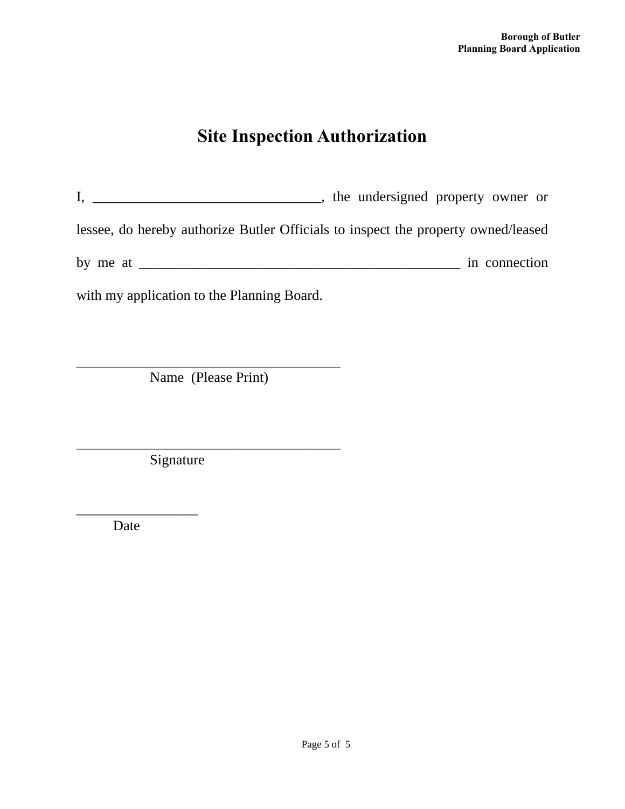## **Site Inspection Authorization**

I, \_\_\_\_\_\_\_\_\_\_\_\_\_\_\_\_\_\_\_\_\_\_\_\_\_\_\_\_\_\_\_\_\_, the undersigned property owner or lessee, do hereby authorize Butler Officials to inspect the property owned/leased by me at \_\_\_\_\_\_\_\_\_\_\_\_\_\_\_\_\_\_\_\_\_\_\_\_\_\_\_\_\_\_\_\_\_\_\_\_\_\_\_\_\_\_\_\_\_ in connection

with my application to the Planning Board.

\_\_\_\_\_\_\_\_\_\_\_\_\_\_\_\_\_\_\_\_\_\_\_\_\_\_\_\_\_\_\_\_\_\_\_\_\_ Name (Please Print)

\_\_\_\_\_\_\_\_\_\_\_\_\_\_\_\_\_\_\_\_\_\_\_\_\_\_\_\_\_\_\_\_\_\_\_\_\_

**Signature** 

Date

\_\_\_\_\_\_\_\_\_\_\_\_\_\_\_\_\_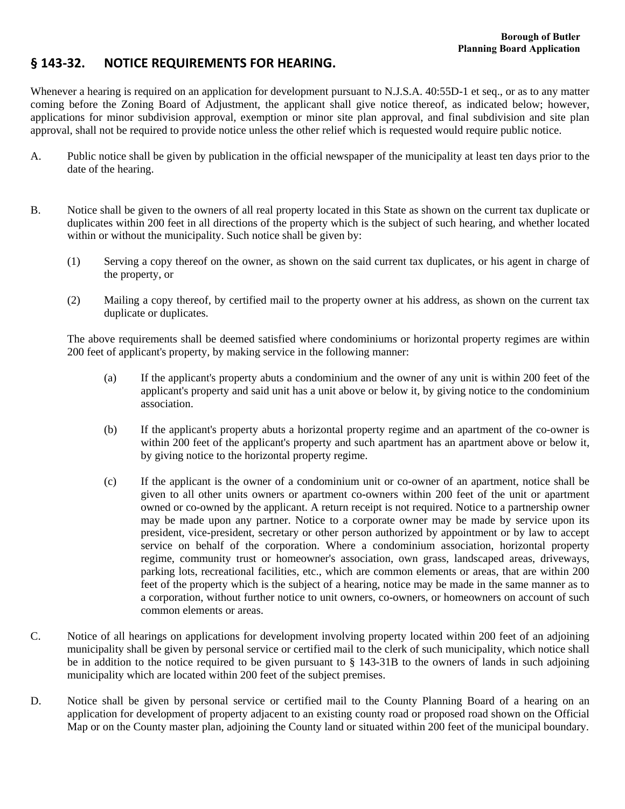#### **§ 143‐32. NOTICE REQUIREMENTS FOR HEARING.**

Whenever a hearing is required on an application for development pursuant to N.J.S.A. 40:55D-1 et seq., or as to any matter coming before the Zoning Board of Adjustment, the applicant shall give notice thereof, as indicated below; however, applications for minor subdivision approval, exemption or minor site plan approval, and final subdivision and site plan approval, shall not be required to provide notice unless the other relief which is requested would require public notice.

- A. Public notice shall be given by publication in the official newspaper of the municipality at least ten days prior to the date of the hearing.
- B. Notice shall be given to the owners of all real property located in this State as shown on the current tax duplicate or duplicates within 200 feet in all directions of the property which is the subject of such hearing, and whether located within or without the municipality. Such notice shall be given by:
	- (1) Serving a copy thereof on the owner, as shown on the said current tax duplicates, or his agent in charge of the property, or
	- (2) Mailing a copy thereof, by certified mail to the property owner at his address, as shown on the current tax duplicate or duplicates.

The above requirements shall be deemed satisfied where condominiums or horizontal property regimes are within 200 feet of applicant's property, by making service in the following manner:

- (a) If the applicant's property abuts a condominium and the owner of any unit is within 200 feet of the applicant's property and said unit has a unit above or below it, by giving notice to the condominium association.
- (b) If the applicant's property abuts a horizontal property regime and an apartment of the co-owner is within 200 feet of the applicant's property and such apartment has an apartment above or below it, by giving notice to the horizontal property regime.
- (c) If the applicant is the owner of a condominium unit or co-owner of an apartment, notice shall be given to all other units owners or apartment co-owners within 200 feet of the unit or apartment owned or co-owned by the applicant. A return receipt is not required. Notice to a partnership owner may be made upon any partner. Notice to a corporate owner may be made by service upon its president, vice-president, secretary or other person authorized by appointment or by law to accept service on behalf of the corporation. Where a condominium association, horizontal property regime, community trust or homeowner's association, own grass, landscaped areas, driveways, parking lots, recreational facilities, etc., which are common elements or areas, that are within 200 feet of the property which is the subject of a hearing, notice may be made in the same manner as to a corporation, without further notice to unit owners, co-owners, or homeowners on account of such common elements or areas.
- C. Notice of all hearings on applications for development involving property located within 200 feet of an adjoining municipality shall be given by personal service or certified mail to the clerk of such municipality, which notice shall be in addition to the notice required to be given pursuant to § 143-31B to the owners of lands in such adjoining municipality which are located within 200 feet of the subject premises.
- D. Notice shall be given by personal service or certified mail to the County Planning Board of a hearing on an application for development of property adjacent to an existing county road or proposed road shown on the Official Map or on the County master plan, adjoining the County land or situated within 200 feet of the municipal boundary.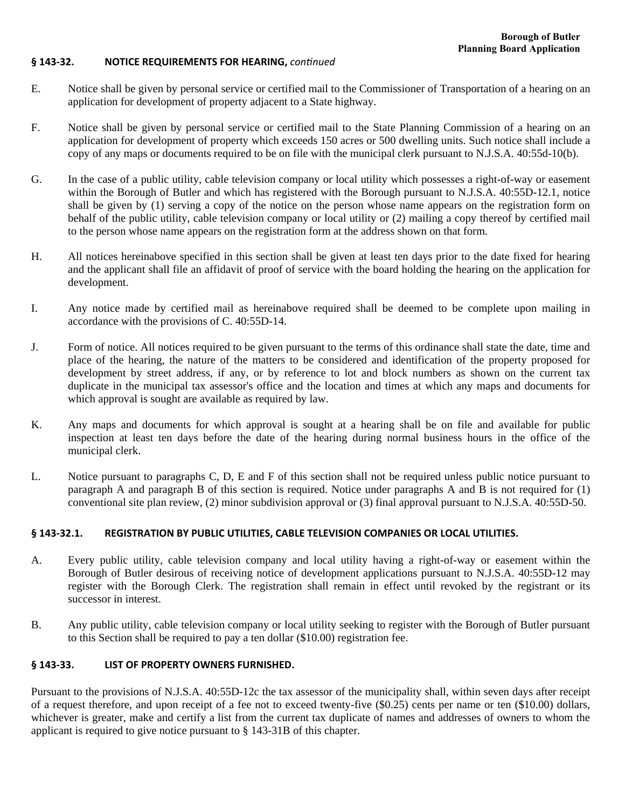#### **§ 143‐32. NOTICE REQUIREMENTS FOR HEARING,** *conƟnued*

- E. Notice shall be given by personal service or certified mail to the Commissioner of Transportation of a hearing on an application for development of property adjacent to a State highway.
- F. Notice shall be given by personal service or certified mail to the State Planning Commission of a hearing on an application for development of property which exceeds 150 acres or 500 dwelling units. Such notice shall include a copy of any maps or documents required to be on file with the municipal clerk pursuant to N.J.S.A. 40:55d-10(b).
- G. In the case of a public utility, cable television company or local utility which possesses a right-of-way or easement within the Borough of Butler and which has registered with the Borough pursuant to N.J.S.A. 40:55D-12.1, notice shall be given by (1) serving a copy of the notice on the person whose name appears on the registration form on behalf of the public utility, cable television company or local utility or (2) mailing a copy thereof by certified mail to the person whose name appears on the registration form at the address shown on that form.
- H. All notices hereinabove specified in this section shall be given at least ten days prior to the date fixed for hearing and the applicant shall file an affidavit of proof of service with the board holding the hearing on the application for development.
- I. Any notice made by certified mail as hereinabove required shall be deemed to be complete upon mailing in accordance with the provisions of C. 40:55D-14.
- J. Form of notice. All notices required to be given pursuant to the terms of this ordinance shall state the date, time and place of the hearing, the nature of the matters to be considered and identification of the property proposed for development by street address, if any, or by reference to lot and block numbers as shown on the current tax duplicate in the municipal tax assessor's office and the location and times at which any maps and documents for which approval is sought are available as required by law.
- K. Any maps and documents for which approval is sought at a hearing shall be on file and available for public inspection at least ten days before the date of the hearing during normal business hours in the office of the municipal clerk.
- L. Notice pursuant to paragraphs C, D, E and F of this section shall not be required unless public notice pursuant to paragraph A and paragraph B of this section is required. Notice under paragraphs A and B is not required for (1) conventional site plan review, (2) minor subdivision approval or (3) final approval pursuant to N.J.S.A. 40:55D-50.

#### **§ 143‐32.1. REGISTRATION BY PUBLIC UTILITIES, CABLE TELEVISION COMPANIES OR LOCAL UTILITIES.**

- A. Every public utility, cable television company and local utility having a right-of-way or easement within the Borough of Butler desirous of receiving notice of development applications pursuant to N.J.S.A. 40:55D-12 may register with the Borough Clerk. The registration shall remain in effect until revoked by the registrant or its successor in interest.
- B. Any public utility, cable television company or local utility seeking to register with the Borough of Butler pursuant to this Section shall be required to pay a ten dollar (\$10.00) registration fee.

#### **§ 143‐33. LIST OF PROPERTY OWNERS FURNISHED.**

Pursuant to the provisions of N.J.S.A. 40:55D-12c the tax assessor of the municipality shall, within seven days after receipt of a request therefore, and upon receipt of a fee not to exceed twenty-five (\$0.25) cents per name or ten (\$10.00) dollars, whichever is greater, make and certify a list from the current tax duplicate of names and addresses of owners to whom the applicant is required to give notice pursuant to § 143-31B of this chapter.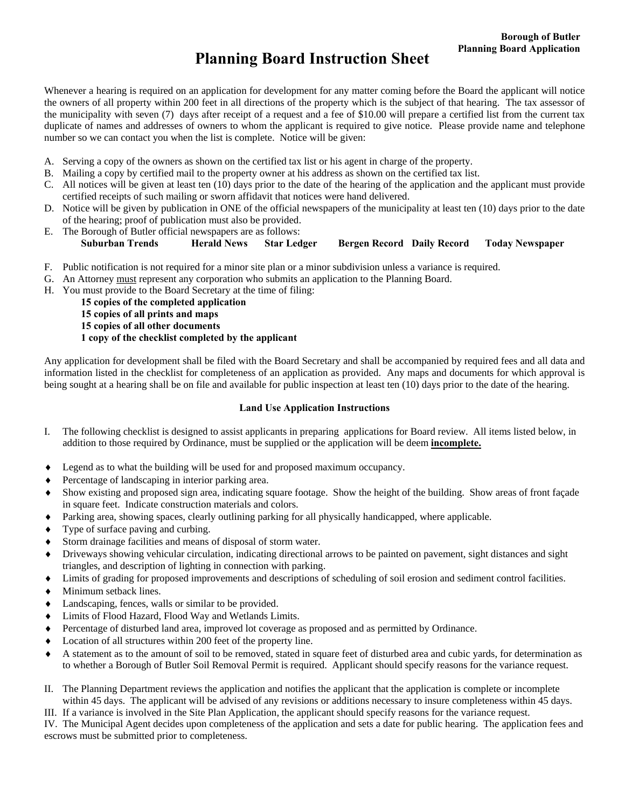## **Planning Board Instruction Sheet**

Whenever a hearing is required on an application for development for any matter coming before the Board the applicant will notice the owners of all property within 200 feet in all directions of the property which is the subject of that hearing. The tax assessor of the municipality with seven (7) days after receipt of a request and a fee of \$10.00 will prepare a certified list from the current tax duplicate of names and addresses of owners to whom the applicant is required to give notice. Please provide name and telephone number so we can contact you when the list is complete. Notice will be given:

- A. Serving a copy of the owners as shown on the certified tax list or his agent in charge of the property.
- B. Mailing a copy by certified mail to the property owner at his address as shown on the certified tax list.
- C. All notices will be given at least ten (10) days prior to the date of the hearing of the application and the applicant must provide certified receipts of such mailing or sworn affidavit that notices were hand delivered.
- D. Notice will be given by publication in ONE of the official newspapers of the municipality at least ten (10) days prior to the date of the hearing; proof of publication must also be provided.
- E. The Borough of Butler official newspapers are as follows:

#### **Suburban Trends Herald News Star Ledger Bergen Record Daily Record Today Newspaper**

- F. Public notification is not required for a minor site plan or a minor subdivision unless a variance is required.
- G. An Attorney must represent any corporation who submits an application to the Planning Board.
- H. You must provide to the Board Secretary at the time of filing:

**15 copies of the completed application 15 copies of all prints and maps 15 copies of all other documents 1 copy of the checklist completed by the applicant** 

Any application for development shall be filed with the Board Secretary and shall be accompanied by required fees and all data and information listed in the checklist for completeness of an application as provided. Any maps and documents for which approval is being sought at a hearing shall be on file and available for public inspection at least ten (10) days prior to the date of the hearing.

#### **Land Use Application Instructions**

- I. The following checklist is designed to assist applicants in preparing applications for Board review. All items listed below, in addition to those required by Ordinance, must be supplied or the application will be deem **incomplete.**
- Legend as to what the building will be used for and proposed maximum occupancy.
- Percentage of landscaping in interior parking area.
- Show existing and proposed sign area, indicating square footage. Show the height of the building. Show areas of front façade in square feet. Indicate construction materials and colors.
- Parking area, showing spaces, clearly outlining parking for all physically handicapped, where applicable.
- Type of surface paving and curbing.
- Storm drainage facilities and means of disposal of storm water.
- Driveways showing vehicular circulation, indicating directional arrows to be painted on pavement, sight distances and sight triangles, and description of lighting in connection with parking.
- Limits of grading for proposed improvements and descriptions of scheduling of soil erosion and sediment control facilities.
- $\blacklozenge$  Minimum setback lines.
- Landscaping, fences, walls or similar to be provided.
- Limits of Flood Hazard, Flood Way and Wetlands Limits.
- Percentage of disturbed land area, improved lot coverage as proposed and as permitted by Ordinance.
- Location of all structures within 200 feet of the property line.
- A statement as to the amount of soil to be removed, stated in square feet of disturbed area and cubic yards, for determination as to whether a Borough of Butler Soil Removal Permit is required. Applicant should specify reasons for the variance request.
- II. The Planning Department reviews the application and notifies the applicant that the application is complete or incomplete within 45 days. The applicant will be advised of any revisions or additions necessary to insure completeness within 45 days.
- III. If a variance is involved in the Site Plan Application, the applicant should specify reasons for the variance request.

IV. The Municipal Agent decides upon completeness of the application and sets a date for public hearing. The application fees and escrows must be submitted prior to completeness.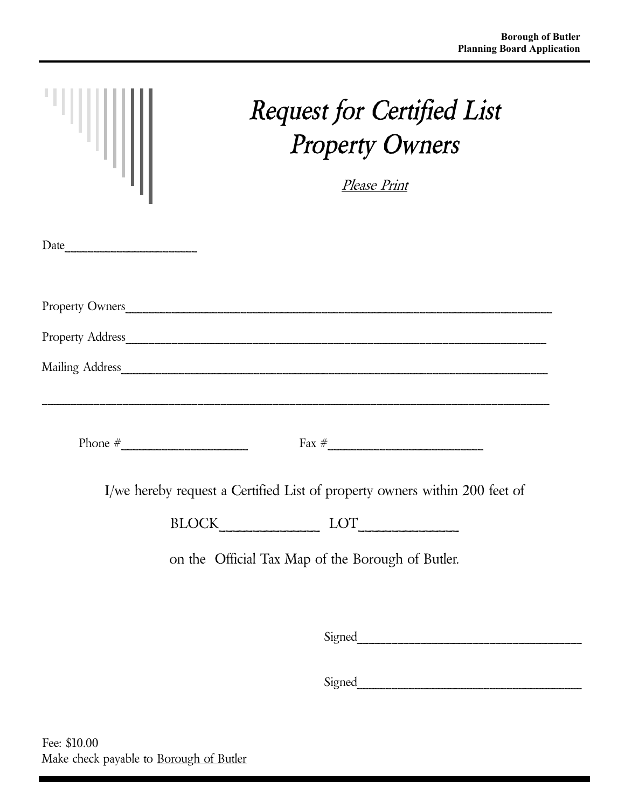| "III | <b>Request for Certified List</b><br><b>Property Owners</b>                                                                                                                                                                                                    |
|------|----------------------------------------------------------------------------------------------------------------------------------------------------------------------------------------------------------------------------------------------------------------|
|      | Please Print                                                                                                                                                                                                                                                   |
|      |                                                                                                                                                                                                                                                                |
|      | Property Owners                                                                                                                                                                                                                                                |
|      | Property Address                                                                                                                                                                                                                                               |
|      |                                                                                                                                                                                                                                                                |
|      | $\text{Fax} \#$<br>I/we hereby request a Certified List of property owners within 200 feet of<br>$\text{BLOCK}\underset{\hspace{0.5cm}\longrightarrow\hspace{0.5cm}}{\text{LOCK}}\text{LOT}\underset{\hspace{0.5cm}\longrightarrow\hspace{0.5cm}}{\text{LOT}}$ |
|      | on the Official Tax Map of the Borough of Butler.                                                                                                                                                                                                              |
|      |                                                                                                                                                                                                                                                                |
|      |                                                                                                                                                                                                                                                                |
|      |                                                                                                                                                                                                                                                                |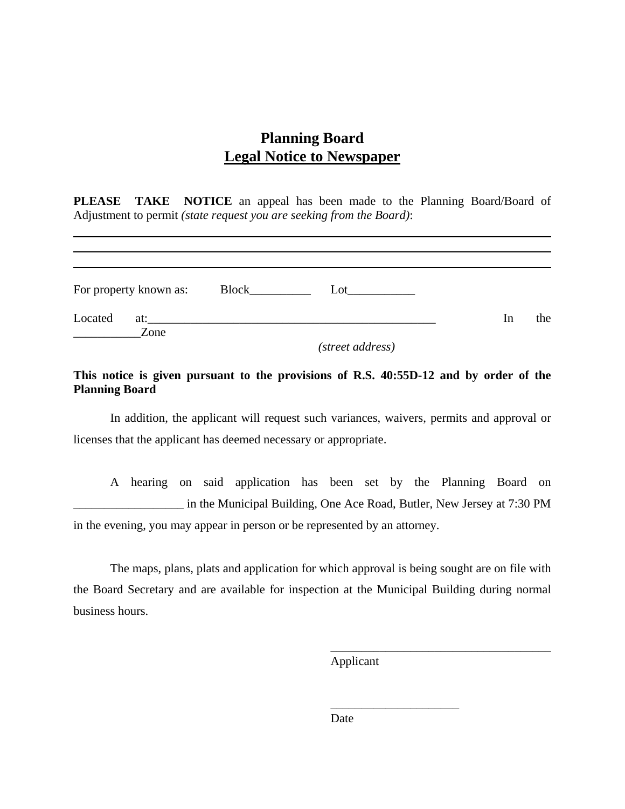### **Planning Board Legal Notice to Newspaper**

**PLEASE TAKE NOTICE** an appeal has been made to the Planning Board/Board of Adjustment to permit *(state request you are seeking from the Board)*:

| Lot     |    |     |
|---------|----|-----|
|         | 1n | the |
| Block__ |    |     |

*(street address)* 

#### **This notice is given pursuant to the provisions of R.S. 40:55D-12 and by order of the Planning Board**

In addition, the applicant will request such variances, waivers, permits and approval or licenses that the applicant has deemed necessary or appropriate.

A hearing on said application has been set by the Planning Board on \_\_\_\_\_\_\_\_\_\_\_\_\_\_\_\_\_\_ in the Municipal Building, One Ace Road, Butler, New Jersey at 7:30 PM in the evening, you may appear in person or be represented by an attorney.

The maps, plans, plats and application for which approval is being sought are on file with the Board Secretary and are available for inspection at the Municipal Building during normal business hours.

Applicant

\_\_\_\_\_\_\_\_\_\_\_\_\_\_\_\_\_\_\_\_\_

\_\_\_\_\_\_\_\_\_\_\_\_\_\_\_\_\_\_\_\_\_\_\_\_\_\_\_\_\_\_\_\_\_\_\_\_

Date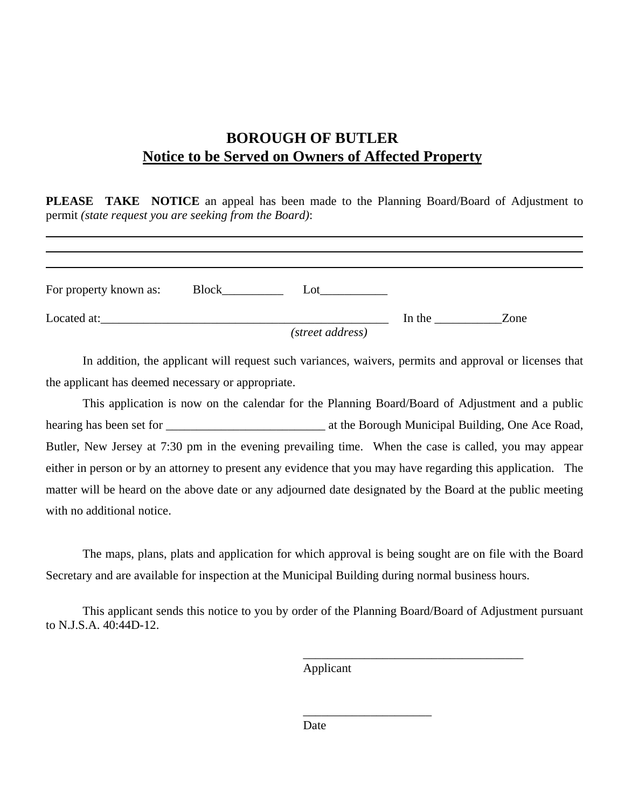## **BOROUGH OF BUTLER Notice to be Served on Owners of Affected Property**

**PLEASE TAKE NOTICE** an appeal has been made to the Planning Board/Board of Adjustment to permit *(state request you are seeking from the Board)*:

| For property known as: | Lot              |        |      |
|------------------------|------------------|--------|------|
| Located at:            |                  | In the | Zone |
|                        | (street address) |        |      |

In addition, the applicant will request such variances, waivers, permits and approval or licenses that the applicant has deemed necessary or appropriate.

This application is now on the calendar for the Planning Board/Board of Adjustment and a public hearing has been set for \_\_\_\_\_\_\_\_\_\_\_\_\_\_\_\_\_\_\_\_\_\_\_\_\_\_ at the Borough Municipal Building, One Ace Road, Butler, New Jersey at 7:30 pm in the evening prevailing time. When the case is called, you may appear either in person or by an attorney to present any evidence that you may have regarding this application. The matter will be heard on the above date or any adjourned date designated by the Board at the public meeting with no additional notice.

The maps, plans, plats and application for which approval is being sought are on file with the Board Secretary and are available for inspection at the Municipal Building during normal business hours.

This applicant sends this notice to you by order of the Planning Board/Board of Adjustment pursuant to N.J.S.A. 40:44D-12.

Applicant

\_\_\_\_\_\_\_\_\_\_\_\_\_\_\_\_\_\_\_\_\_

\_\_\_\_\_\_\_\_\_\_\_\_\_\_\_\_\_\_\_\_\_\_\_\_\_\_\_\_\_\_\_\_\_\_\_\_

Date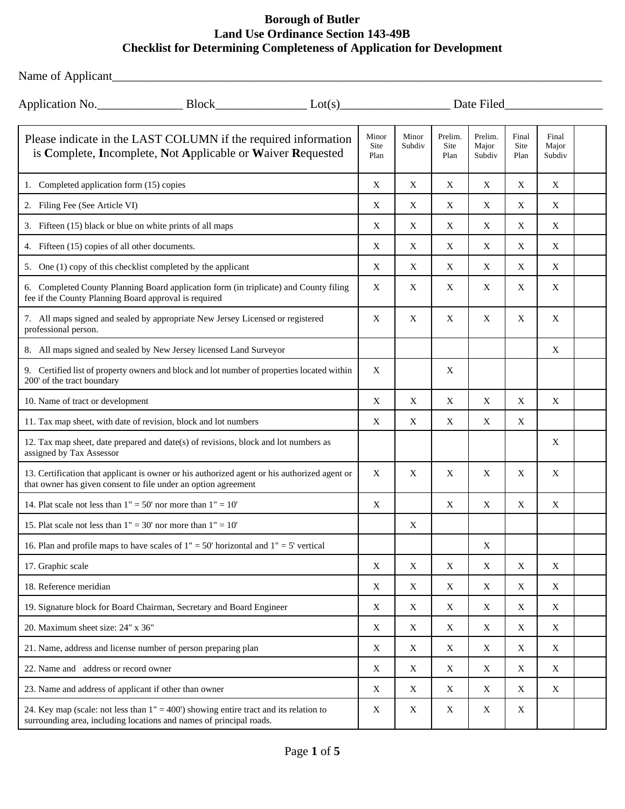Name of Applicant\_\_\_\_\_\_\_\_\_\_\_\_\_\_\_\_\_\_\_\_\_\_\_\_\_\_\_\_\_\_\_\_\_\_\_\_\_\_\_\_\_\_\_\_\_\_\_\_\_\_\_\_\_\_\_\_\_\_\_\_\_\_\_\_\_\_\_\_\_\_\_\_\_\_\_\_\_\_\_\_

| Date Filed                                                                                                                                                      |  |  |                       |                 |                         |                            |                       |                          |  |
|-----------------------------------------------------------------------------------------------------------------------------------------------------------------|--|--|-----------------------|-----------------|-------------------------|----------------------------|-----------------------|--------------------------|--|
| Please indicate in the LAST COLUMN if the required information<br>is Complete, Incomplete, Not Applicable or Waiver Requested                                   |  |  | Minor<br>Site<br>Plan | Minor<br>Subdiv | Prelim.<br>Site<br>Plan | Prelim.<br>Major<br>Subdiv | Final<br>Site<br>Plan | Final<br>Major<br>Subdiv |  |
| 1. Completed application form (15) copies                                                                                                                       |  |  | X                     | X               | X                       | X                          | X                     | X                        |  |
| 2. Filing Fee (See Article VI)                                                                                                                                  |  |  | X                     | X               | X                       | X                          | X                     | X                        |  |
| 3. Fifteen (15) black or blue on white prints of all maps                                                                                                       |  |  | X                     | X               | X                       | X                          | X                     | X                        |  |
| 4. Fifteen (15) copies of all other documents.                                                                                                                  |  |  | X                     | X               | X                       | X                          | X                     | X                        |  |
| 5. One (1) copy of this checklist completed by the applicant                                                                                                    |  |  | X                     | X               | X                       | X                          | X                     | X                        |  |
| 6. Completed County Planning Board application form (in triplicate) and County filing<br>fee if the County Planning Board approval is required                  |  |  | X                     | X               | X                       | X                          | X                     | X                        |  |
| 7. All maps signed and sealed by appropriate New Jersey Licensed or registered<br>professional person.                                                          |  |  | X                     | X               | X                       | X                          | X                     | X                        |  |
| 8. All maps signed and sealed by New Jersey licensed Land Surveyor                                                                                              |  |  |                       |                 |                         |                            |                       | X                        |  |
| 9. Certified list of property owners and block and lot number of properties located within<br>200' of the tract boundary                                        |  |  | X                     |                 | X                       |                            |                       |                          |  |
| 10. Name of tract or development                                                                                                                                |  |  | X                     | X               | X                       | X                          | X                     | X                        |  |
| 11. Tax map sheet, with date of revision, block and lot numbers                                                                                                 |  |  | X                     | X               | X                       | X                          | X                     |                          |  |
| 12. Tax map sheet, date prepared and date(s) of revisions, block and lot numbers as<br>assigned by Tax Assessor                                                 |  |  |                       |                 |                         |                            |                       | X                        |  |
| 13. Certification that applicant is owner or his authorized agent or his authorized agent or<br>that owner has given consent to file under an option agreement  |  |  | X                     | X               | X                       | X                          | X                     | X                        |  |
| 14. Plat scale not less than $1" = 50'$ nor more than $1" = 10'$                                                                                                |  |  | X                     |                 | X                       | X                          | X                     | X                        |  |
| 15. Plat scale not less than $1" = 30'$ nor more than $1" = 10'$                                                                                                |  |  |                       | X               |                         |                            |                       |                          |  |
| 16. Plan and profile maps to have scales of $1" = 50'$ horizontal and $1" = 5'$ vertical                                                                        |  |  |                       |                 |                         | X                          |                       |                          |  |
| 17. Graphic scale                                                                                                                                               |  |  | $\mathbf X$           | $\mathbf X$     | X                       | X                          | X                     | X                        |  |
| 18. Reference meridian                                                                                                                                          |  |  | X                     | X               | X                       | X                          | X                     | X                        |  |
| 19. Signature block for Board Chairman, Secretary and Board Engineer                                                                                            |  |  | X                     | X               | X                       | X                          | X                     | X                        |  |
| 20. Maximum sheet size: 24" x 36"                                                                                                                               |  |  | $\mathbf X$           | $\mathbf X$     | $\mathbf X$             | X                          | $\mathbf X$           | $\mathbf X$              |  |
| 21. Name, address and license number of person preparing plan                                                                                                   |  |  | X                     | X               | X                       | X                          | X                     | X                        |  |
| 22. Name and address or record owner                                                                                                                            |  |  | X                     | X               | X                       | X                          | X                     | X                        |  |
| 23. Name and address of applicant if other than owner                                                                                                           |  |  | $\mathbf X$           | X               | X                       | X                          | X                     | X                        |  |
| 24. Key map (scale: not less than $1" = 400'$ ) showing entire tract and its relation to<br>surrounding area, including locations and names of principal roads. |  |  | X                     | X               | X                       | X                          | X                     |                          |  |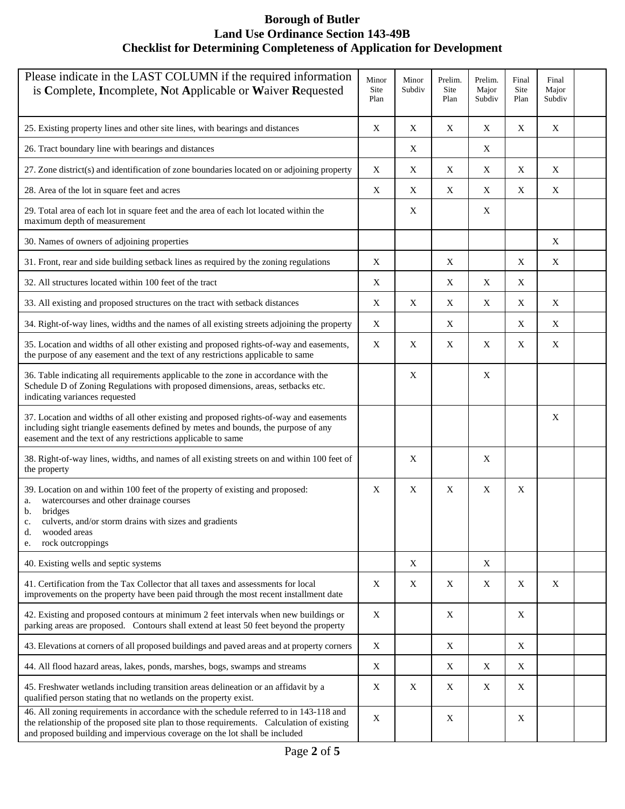| Please indicate in the LAST COLUMN if the required information<br>is Complete, Incomplete, Not Applicable or Waiver Requested                                                                                                                                     |   | Minor<br>Subdiv | Prelim.<br>Site<br>Plan | Prelim.<br>Major<br>Subdiv | Final<br>Site<br>Plan | Final<br>Major<br>Subdiv |  |
|-------------------------------------------------------------------------------------------------------------------------------------------------------------------------------------------------------------------------------------------------------------------|---|-----------------|-------------------------|----------------------------|-----------------------|--------------------------|--|
| 25. Existing property lines and other site lines, with bearings and distances                                                                                                                                                                                     | X | X               | X                       | X                          | X                     | X                        |  |
| 26. Tract boundary line with bearings and distances                                                                                                                                                                                                               |   | X               |                         | X                          |                       |                          |  |
| 27. Zone district(s) and identification of zone boundaries located on or adjoining property                                                                                                                                                                       | X | X               | X                       | X                          | X                     | X                        |  |
| 28. Area of the lot in square feet and acres                                                                                                                                                                                                                      | X | X               | X                       | X                          | $\mathbf X$           | X                        |  |
| 29. Total area of each lot in square feet and the area of each lot located within the<br>maximum depth of measurement                                                                                                                                             |   | X               |                         | X                          |                       |                          |  |
| 30. Names of owners of adjoining properties                                                                                                                                                                                                                       |   |                 |                         |                            |                       | X                        |  |
| 31. Front, rear and side building setback lines as required by the zoning regulations                                                                                                                                                                             | X |                 | X                       |                            | X                     | X                        |  |
| 32. All structures located within 100 feet of the tract                                                                                                                                                                                                           | X |                 | X                       | X                          | X                     |                          |  |
| 33. All existing and proposed structures on the tract with setback distances                                                                                                                                                                                      | X | X               | X                       | X                          | X                     | X                        |  |
| 34. Right-of-way lines, widths and the names of all existing streets adjoining the property                                                                                                                                                                       | X |                 | X                       |                            | X                     | X                        |  |
| 35. Location and widths of all other existing and proposed rights-of-way and easements,<br>the purpose of any easement and the text of any restrictions applicable to same                                                                                        | X | X               | X                       | X                          | X                     | X                        |  |
| 36. Table indicating all requirements applicable to the zone in accordance with the<br>Schedule D of Zoning Regulations with proposed dimensions, areas, setbacks etc.<br>indicating variances requested                                                          |   | X               |                         | X                          |                       |                          |  |
| 37. Location and widths of all other existing and proposed rights-of-way and easements<br>including sight triangle easements defined by metes and bounds, the purpose of any<br>easement and the text of any restrictions applicable to same                      |   |                 |                         |                            |                       | X                        |  |
| 38. Right-of-way lines, widths, and names of all existing streets on and within 100 feet of<br>the property                                                                                                                                                       |   | X               |                         | X                          |                       |                          |  |
| 39. Location on and within 100 feet of the property of existing and proposed:<br>watercourses and other drainage courses<br>a.<br>bridges<br>b.<br>culverts, and/or storm drains with sizes and gradients<br>C.<br>wooded areas<br>d.<br>rock outcroppings<br>e.  |   | X               | X                       | X                          | X                     |                          |  |
| 40. Existing wells and septic systems                                                                                                                                                                                                                             |   | X               |                         | X                          |                       |                          |  |
| 41. Certification from the Tax Collector that all taxes and assessments for local<br>improvements on the property have been paid through the most recent installment date                                                                                         | X | X               | X                       | X                          | $\mathbf X$           | X                        |  |
| 42. Existing and proposed contours at minimum 2 feet intervals when new buildings or<br>parking areas are proposed. Contours shall extend at least 50 feet beyond the property                                                                                    |   |                 | X                       |                            | X                     |                          |  |
| 43. Elevations at corners of all proposed buildings and paved areas and at property corners                                                                                                                                                                       |   |                 | X                       |                            | X                     |                          |  |
| 44. All flood hazard areas, lakes, ponds, marshes, bogs, swamps and streams                                                                                                                                                                                       | X |                 | X                       | $\mathbf X$                | X                     |                          |  |
| 45. Freshwater wetlands including transition areas delineation or an affidavit by a<br>qualified person stating that no wetlands on the property exist.                                                                                                           |   | X               | Χ                       | X                          | X                     |                          |  |
| 46. All zoning requirements in accordance with the schedule referred to in 143-118 and<br>the relationship of the proposed site plan to those requirements. Calculation of existing<br>and proposed building and impervious coverage on the lot shall be included | X |                 | X                       |                            | X                     |                          |  |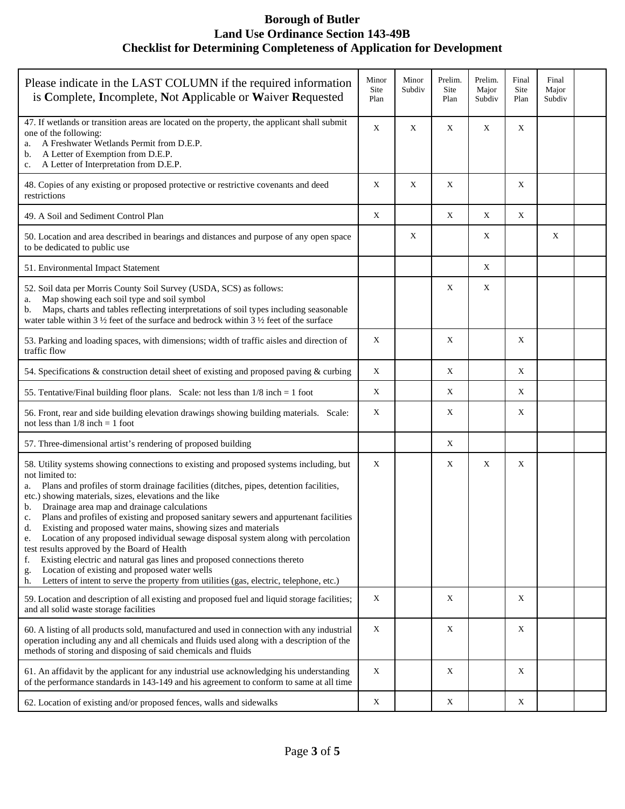| Please indicate in the LAST COLUMN if the required information<br>is Complete, Incomplete, Not Applicable or Waiver Requested                                                                                                                                                                                                                                                                                                                                                                                                                                                                                                                                                                                                                                                                                                                                                           |             | Minor<br>Subdiv | Prelim.<br>Site<br>Plan | Prelim.<br>Major<br>Subdiv | Final<br>Site<br>Plan | Final<br>Major<br>Subdiv |  |
|-----------------------------------------------------------------------------------------------------------------------------------------------------------------------------------------------------------------------------------------------------------------------------------------------------------------------------------------------------------------------------------------------------------------------------------------------------------------------------------------------------------------------------------------------------------------------------------------------------------------------------------------------------------------------------------------------------------------------------------------------------------------------------------------------------------------------------------------------------------------------------------------|-------------|-----------------|-------------------------|----------------------------|-----------------------|--------------------------|--|
| 47. If wetlands or transition areas are located on the property, the applicant shall submit<br>one of the following:<br>A Freshwater Wetlands Permit from D.E.P.<br>a.<br>A Letter of Exemption from D.E.P.<br>b.<br>A Letter of Interpretation from D.E.P.<br>c.                                                                                                                                                                                                                                                                                                                                                                                                                                                                                                                                                                                                                       | $\mathbf X$ | X               | X                       | X                          | X                     |                          |  |
| 48. Copies of any existing or proposed protective or restrictive covenants and deed<br>restrictions                                                                                                                                                                                                                                                                                                                                                                                                                                                                                                                                                                                                                                                                                                                                                                                     | X           | X               | X                       |                            | X                     |                          |  |
| 49. A Soil and Sediment Control Plan                                                                                                                                                                                                                                                                                                                                                                                                                                                                                                                                                                                                                                                                                                                                                                                                                                                    | X           |                 | X                       | X                          | X                     |                          |  |
| 50. Location and area described in bearings and distances and purpose of any open space<br>to be dedicated to public use                                                                                                                                                                                                                                                                                                                                                                                                                                                                                                                                                                                                                                                                                                                                                                |             | Χ               |                         | X                          |                       | X                        |  |
| 51. Environmental Impact Statement                                                                                                                                                                                                                                                                                                                                                                                                                                                                                                                                                                                                                                                                                                                                                                                                                                                      |             |                 |                         | X                          |                       |                          |  |
| 52. Soil data per Morris County Soil Survey (USDA, SCS) as follows:<br>Map showing each soil type and soil symbol<br>a.<br>Maps, charts and tables reflecting interpretations of soil types including seasonable<br>b.<br>water table within 3 $\frac{1}{2}$ feet of the surface and bedrock within 3 $\frac{1}{2}$ feet of the surface                                                                                                                                                                                                                                                                                                                                                                                                                                                                                                                                                 |             |                 | X                       | X                          |                       |                          |  |
| 53. Parking and loading spaces, with dimensions; width of traffic aisles and direction of<br>traffic flow                                                                                                                                                                                                                                                                                                                                                                                                                                                                                                                                                                                                                                                                                                                                                                               | X           |                 | X                       |                            | X                     |                          |  |
| 54. Specifications & construction detail sheet of existing and proposed paving & curbing                                                                                                                                                                                                                                                                                                                                                                                                                                                                                                                                                                                                                                                                                                                                                                                                | X           |                 | X                       |                            | X                     |                          |  |
| 55. Tentative/Final building floor plans. Scale: not less than $1/8$ inch = 1 foot                                                                                                                                                                                                                                                                                                                                                                                                                                                                                                                                                                                                                                                                                                                                                                                                      | X           |                 | X                       |                            | Χ                     |                          |  |
| 56. Front, rear and side building elevation drawings showing building materials. Scale:<br>not less than $1/8$ inch = 1 foot                                                                                                                                                                                                                                                                                                                                                                                                                                                                                                                                                                                                                                                                                                                                                            |             |                 | X                       |                            | X                     |                          |  |
| 57. Three-dimensional artist's rendering of proposed building                                                                                                                                                                                                                                                                                                                                                                                                                                                                                                                                                                                                                                                                                                                                                                                                                           |             |                 | X                       |                            |                       |                          |  |
| 58. Utility systems showing connections to existing and proposed systems including, but<br>not limited to:<br>Plans and profiles of storm drainage facilities (ditches, pipes, detention facilities,<br>a.<br>etc.) showing materials, sizes, elevations and the like<br>Drainage area map and drainage calculations<br>b.<br>Plans and profiles of existing and proposed sanitary sewers and appurtenant facilities<br>c.<br>d.<br>Existing and proposed water mains, showing sizes and materials<br>Location of any proposed individual sewage disposal system along with percolation<br>e.<br>test results approved by the Board of Health<br>Existing electric and natural gas lines and proposed connections thereto<br>f.<br>Location of existing and proposed water wells<br>g.<br>Letters of intent to serve the property from utilities (gas, electric, telephone, etc.)<br>h. | X           |                 | X                       | $\mathbf X$                | X                     |                          |  |
| 59. Location and description of all existing and proposed fuel and liquid storage facilities;<br>and all solid waste storage facilities                                                                                                                                                                                                                                                                                                                                                                                                                                                                                                                                                                                                                                                                                                                                                 | X           |                 | X                       |                            | X                     |                          |  |
| 60. A listing of all products sold, manufactured and used in connection with any industrial<br>operation including any and all chemicals and fluids used along with a description of the<br>methods of storing and disposing of said chemicals and fluids                                                                                                                                                                                                                                                                                                                                                                                                                                                                                                                                                                                                                               | X           |                 | X                       |                            | X                     |                          |  |
| 61. An affidavit by the applicant for any industrial use acknowledging his understanding<br>of the performance standards in 143-149 and his agreement to conform to same at all time                                                                                                                                                                                                                                                                                                                                                                                                                                                                                                                                                                                                                                                                                                    | X           |                 | X                       |                            | X                     |                          |  |
| 62. Location of existing and/or proposed fences, walls and sidewalks                                                                                                                                                                                                                                                                                                                                                                                                                                                                                                                                                                                                                                                                                                                                                                                                                    | X           |                 | $\mathbf X$             |                            | X                     |                          |  |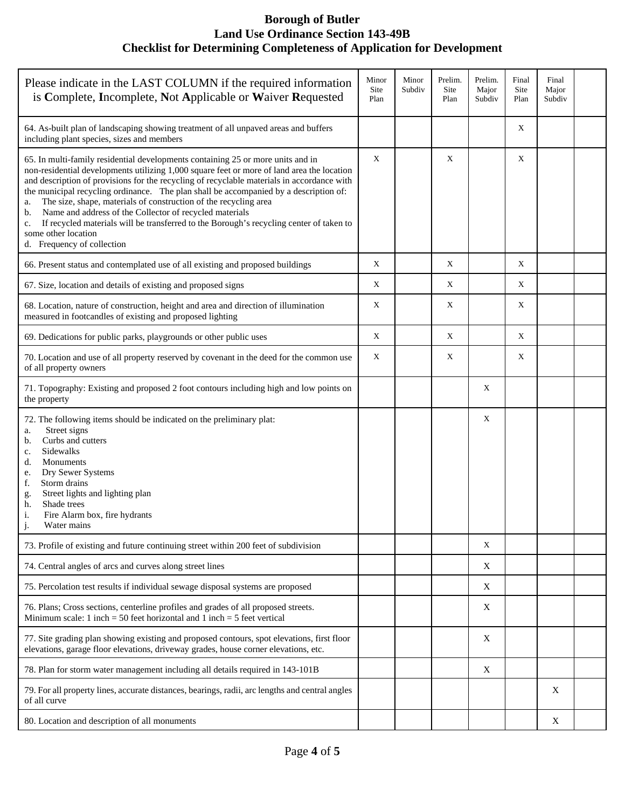| Please indicate in the LAST COLUMN if the required information<br>is Complete, Incomplete, Not Applicable or Waiver Requested                                                                                                                                                                                                                                                                                                                                                                                                                                                                                                                                                     | Minor<br>Site<br>Plan | Minor<br>Subdiv | Prelim.<br>Site<br>Plan | Prelim.<br>Major<br>Subdiv | Final<br>Site<br>Plan | Final<br>Major<br>Subdiv |  |
|-----------------------------------------------------------------------------------------------------------------------------------------------------------------------------------------------------------------------------------------------------------------------------------------------------------------------------------------------------------------------------------------------------------------------------------------------------------------------------------------------------------------------------------------------------------------------------------------------------------------------------------------------------------------------------------|-----------------------|-----------------|-------------------------|----------------------------|-----------------------|--------------------------|--|
| 64. As-built plan of landscaping showing treatment of all unpaved areas and buffers<br>including plant species, sizes and members                                                                                                                                                                                                                                                                                                                                                                                                                                                                                                                                                 |                       |                 |                         |                            | X                     |                          |  |
| 65. In multi-family residential developments containing 25 or more units and in<br>non-residential developments utilizing 1,000 square feet or more of land area the location<br>and description of provisions for the recycling of recyclable materials in accordance with<br>the municipal recycling ordinance. The plan shall be accompanied by a description of:<br>The size, shape, materials of construction of the recycling area<br>a.<br>Name and address of the Collector of recycled materials<br>b.<br>If recycled materials will be transferred to the Borough's recycling center of taken to<br>$\mathbf{C}$ .<br>some other location<br>d. Frequency of collection | X                     |                 | X                       |                            | X                     |                          |  |
| 66. Present status and contemplated use of all existing and proposed buildings                                                                                                                                                                                                                                                                                                                                                                                                                                                                                                                                                                                                    | X                     |                 | X                       |                            | X                     |                          |  |
| 67. Size, location and details of existing and proposed signs                                                                                                                                                                                                                                                                                                                                                                                                                                                                                                                                                                                                                     | X                     |                 | X                       |                            | X                     |                          |  |
| 68. Location, nature of construction, height and area and direction of illumination<br>measured in footcandles of existing and proposed lighting                                                                                                                                                                                                                                                                                                                                                                                                                                                                                                                                  | Χ                     |                 | X                       |                            | X                     |                          |  |
| 69. Dedications for public parks, playgrounds or other public uses                                                                                                                                                                                                                                                                                                                                                                                                                                                                                                                                                                                                                | X                     |                 | X                       |                            | X                     |                          |  |
| 70. Location and use of all property reserved by covenant in the deed for the common use<br>of all property owners                                                                                                                                                                                                                                                                                                                                                                                                                                                                                                                                                                | $\mathbf X$           |                 | X                       |                            | $\mathbf X$           |                          |  |
| 71. Topography: Existing and proposed 2 foot contours including high and low points on<br>the property                                                                                                                                                                                                                                                                                                                                                                                                                                                                                                                                                                            |                       |                 |                         | Χ                          |                       |                          |  |
| 72. The following items should be indicated on the preliminary plat:<br>Street signs<br>a.<br>Curbs and cutters<br>b.<br>Sidewalks<br>$\mathbf{c}.$<br>Monuments<br>d.<br>Dry Sewer Systems<br>e.<br>Storm drains<br>f.<br>Street lights and lighting plan<br>g.<br>Shade trees<br>h.<br>i.<br>Fire Alarm box, fire hydrants<br>Water mains                                                                                                                                                                                                                                                                                                                                       |                       |                 |                         | X                          |                       |                          |  |
| 73. Profile of existing and future continuing street within 200 feet of subdivision                                                                                                                                                                                                                                                                                                                                                                                                                                                                                                                                                                                               |                       |                 |                         | X                          |                       |                          |  |
| 74. Central angles of arcs and curves along street lines                                                                                                                                                                                                                                                                                                                                                                                                                                                                                                                                                                                                                          |                       |                 |                         | X                          |                       |                          |  |
| 75. Percolation test results if individual sewage disposal systems are proposed                                                                                                                                                                                                                                                                                                                                                                                                                                                                                                                                                                                                   |                       |                 |                         | X                          |                       |                          |  |
| 76. Plans; Cross sections, centerline profiles and grades of all proposed streets.<br>Minimum scale: 1 inch = 50 feet horizontal and 1 inch = 5 feet vertical                                                                                                                                                                                                                                                                                                                                                                                                                                                                                                                     |                       |                 |                         | X                          |                       |                          |  |
| 77. Site grading plan showing existing and proposed contours, spot elevations, first floor<br>elevations, garage floor elevations, driveway grades, house corner elevations, etc.                                                                                                                                                                                                                                                                                                                                                                                                                                                                                                 |                       |                 |                         | X                          |                       |                          |  |
| 78. Plan for storm water management including all details required in 143-101B                                                                                                                                                                                                                                                                                                                                                                                                                                                                                                                                                                                                    |                       |                 |                         | X                          |                       |                          |  |
| 79. For all property lines, accurate distances, bearings, radii, arc lengths and central angles<br>of all curve                                                                                                                                                                                                                                                                                                                                                                                                                                                                                                                                                                   |                       |                 |                         |                            |                       | X                        |  |
| 80. Location and description of all monuments                                                                                                                                                                                                                                                                                                                                                                                                                                                                                                                                                                                                                                     |                       |                 |                         |                            |                       | $\mathbf X$              |  |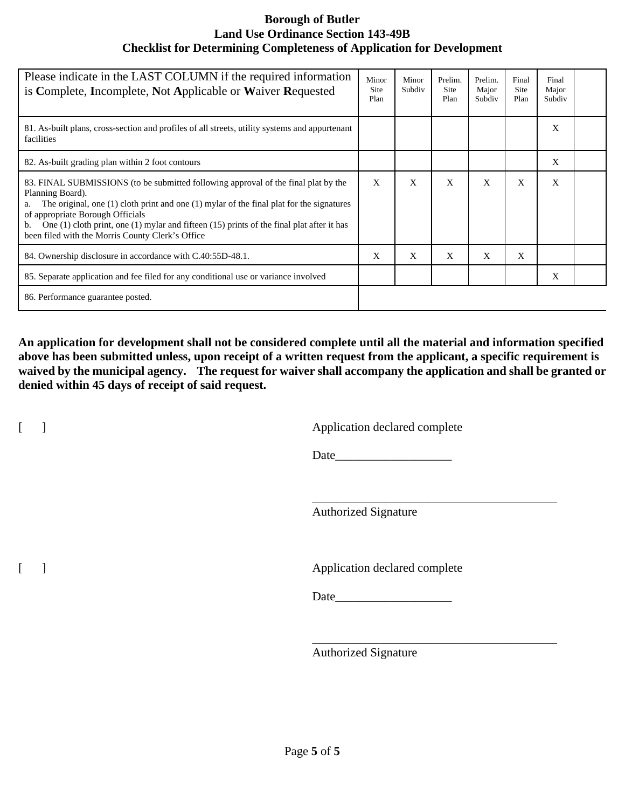| Please indicate in the LAST COLUMN if the required information<br>is Complete, Incomplete, Not Applicable or Waiver Requested                                                                                                                                                                                                                                                                                 | Minor<br>Site<br>Plan | Minor<br>Subdiv | Prelim.<br><b>Site</b><br>Plan | Prelim.<br>Major<br>Subdiv | Final<br><b>Site</b><br>Plan | Final<br>Major<br>Subdiv |  |
|---------------------------------------------------------------------------------------------------------------------------------------------------------------------------------------------------------------------------------------------------------------------------------------------------------------------------------------------------------------------------------------------------------------|-----------------------|-----------------|--------------------------------|----------------------------|------------------------------|--------------------------|--|
| 81. As-built plans, cross-section and profiles of all streets, utility systems and appurtenant<br>facilities                                                                                                                                                                                                                                                                                                  |                       |                 |                                |                            |                              | X                        |  |
| 82. As-built grading plan within 2 foot contours                                                                                                                                                                                                                                                                                                                                                              |                       |                 |                                |                            |                              | X                        |  |
| 83. FINAL SUBMISSIONS (to be submitted following approval of the final plat by the<br>Planning Board).<br>The original, one $(1)$ cloth print and one $(1)$ mylar of the final plat for the signatures<br>a.<br>of appropriate Borough Officials<br>One $(1)$ cloth print, one $(1)$ mylar and fifteen $(15)$ prints of the final plat after it has<br>b.<br>been filed with the Morris County Clerk's Office | X                     | X               | X                              | X                          | X                            | X                        |  |
| 84. Ownership disclosure in accordance with C.40:55D-48.1.                                                                                                                                                                                                                                                                                                                                                    | X                     | X               | X                              | X                          | X                            |                          |  |
| 85. Separate application and fee filed for any conditional use or variance involved                                                                                                                                                                                                                                                                                                                           |                       |                 |                                |                            |                              | X                        |  |
| 86. Performance guarantee posted.                                                                                                                                                                                                                                                                                                                                                                             |                       |                 |                                |                            |                              |                          |  |

**An application for development shall not be considered complete until all the material and information specified above has been submitted unless, upon receipt of a written request from the applicant, a specific requirement is waived by the municipal agency. The request for waiver shall accompany the application and shall be granted or denied within 45 days of receipt of said request.**

[ ] Application declared complete

Date

\_\_\_\_\_\_\_\_\_\_\_\_\_\_\_\_\_\_\_\_\_\_\_\_\_\_\_\_\_\_\_\_\_\_\_\_\_\_\_\_

\_\_\_\_\_\_\_\_\_\_\_\_\_\_\_\_\_\_\_\_\_\_\_\_\_\_\_\_\_\_\_\_\_\_\_\_\_\_\_\_

Authorized Signature

[ ] Application declared complete

Date\_\_\_\_\_\_\_\_\_\_\_\_\_\_\_\_\_\_\_

Authorized Signature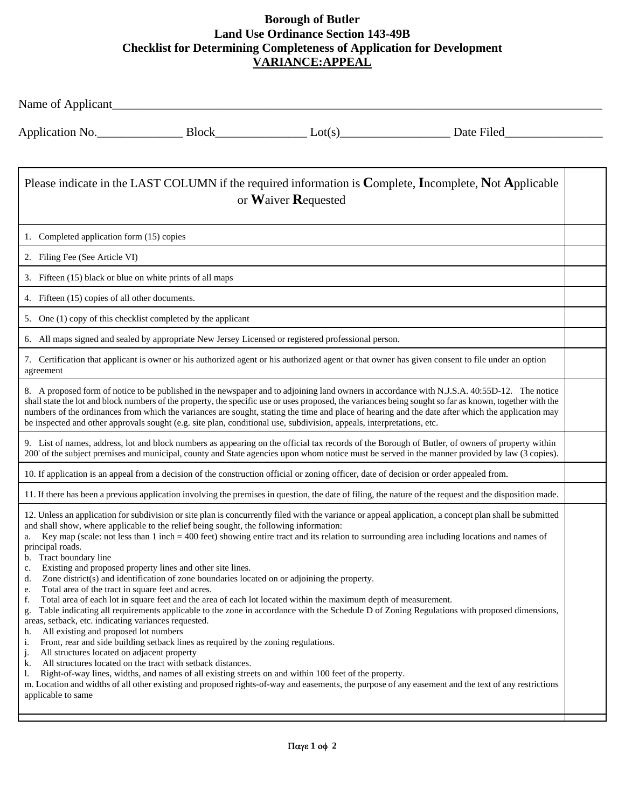|                                                                                                                                                                                                                                                                                                                                                                                                                                                                                                                                                                                                                                                                                                                                                          |  |                                                                                                                                                                                                                          | Application No. Block Block Learness Lot(s) Date Filed                                                                                                                                                                                                                                                                                                                                                                                                                                                                                                                                                      |  |  |  |  |
|----------------------------------------------------------------------------------------------------------------------------------------------------------------------------------------------------------------------------------------------------------------------------------------------------------------------------------------------------------------------------------------------------------------------------------------------------------------------------------------------------------------------------------------------------------------------------------------------------------------------------------------------------------------------------------------------------------------------------------------------------------|--|--------------------------------------------------------------------------------------------------------------------------------------------------------------------------------------------------------------------------|-------------------------------------------------------------------------------------------------------------------------------------------------------------------------------------------------------------------------------------------------------------------------------------------------------------------------------------------------------------------------------------------------------------------------------------------------------------------------------------------------------------------------------------------------------------------------------------------------------------|--|--|--|--|
| Please indicate in the LAST COLUMN if the required information is Complete, Incomplete, Not Applicable<br>or Waiver Requested                                                                                                                                                                                                                                                                                                                                                                                                                                                                                                                                                                                                                            |  |                                                                                                                                                                                                                          |                                                                                                                                                                                                                                                                                                                                                                                                                                                                                                                                                                                                             |  |  |  |  |
| 1. Completed application form (15) copies                                                                                                                                                                                                                                                                                                                                                                                                                                                                                                                                                                                                                                                                                                                |  |                                                                                                                                                                                                                          |                                                                                                                                                                                                                                                                                                                                                                                                                                                                                                                                                                                                             |  |  |  |  |
| 2. Filing Fee (See Article VI)                                                                                                                                                                                                                                                                                                                                                                                                                                                                                                                                                                                                                                                                                                                           |  |                                                                                                                                                                                                                          |                                                                                                                                                                                                                                                                                                                                                                                                                                                                                                                                                                                                             |  |  |  |  |
| 3. Fifteen (15) black or blue on white prints of all maps                                                                                                                                                                                                                                                                                                                                                                                                                                                                                                                                                                                                                                                                                                |  |                                                                                                                                                                                                                          |                                                                                                                                                                                                                                                                                                                                                                                                                                                                                                                                                                                                             |  |  |  |  |
| 4. Fifteen (15) copies of all other documents.                                                                                                                                                                                                                                                                                                                                                                                                                                                                                                                                                                                                                                                                                                           |  |                                                                                                                                                                                                                          |                                                                                                                                                                                                                                                                                                                                                                                                                                                                                                                                                                                                             |  |  |  |  |
| 5. One (1) copy of this checklist completed by the applicant                                                                                                                                                                                                                                                                                                                                                                                                                                                                                                                                                                                                                                                                                             |  |                                                                                                                                                                                                                          |                                                                                                                                                                                                                                                                                                                                                                                                                                                                                                                                                                                                             |  |  |  |  |
| 6. All maps signed and sealed by appropriate New Jersey Licensed or registered professional person.                                                                                                                                                                                                                                                                                                                                                                                                                                                                                                                                                                                                                                                      |  |                                                                                                                                                                                                                          |                                                                                                                                                                                                                                                                                                                                                                                                                                                                                                                                                                                                             |  |  |  |  |
| agreement                                                                                                                                                                                                                                                                                                                                                                                                                                                                                                                                                                                                                                                                                                                                                |  |                                                                                                                                                                                                                          | 7. Certification that applicant is owner or his authorized agent or his authorized agent or that owner has given consent to file under an option                                                                                                                                                                                                                                                                                                                                                                                                                                                            |  |  |  |  |
| be inspected and other approvals sought (e.g. site plan, conditional use, subdivision, appeals, interpretations, etc.                                                                                                                                                                                                                                                                                                                                                                                                                                                                                                                                                                                                                                    |  |                                                                                                                                                                                                                          | 8. A proposed form of notice to be published in the newspaper and to adjoining land owners in accordance with N.J.S.A. 40:55D-12. The notice<br>shall state the lot and block numbers of the property, the specific use or uses proposed, the variances being sought so far as known, together with the<br>numbers of the ordinances from which the variances are sought, stating the time and place of hearing and the date after which the application may                                                                                                                                                |  |  |  |  |
|                                                                                                                                                                                                                                                                                                                                                                                                                                                                                                                                                                                                                                                                                                                                                          |  |                                                                                                                                                                                                                          | 9. List of names, address, lot and block numbers as appearing on the official tax records of the Borough of Butler, of owners of property within<br>200' of the subject premises and municipal, county and State agencies upon whom notice must be served in the manner provided by law (3 copies).                                                                                                                                                                                                                                                                                                         |  |  |  |  |
| 10. If application is an appeal from a decision of the construction official or zoning officer, date of decision or order appealed from.                                                                                                                                                                                                                                                                                                                                                                                                                                                                                                                                                                                                                 |  |                                                                                                                                                                                                                          |                                                                                                                                                                                                                                                                                                                                                                                                                                                                                                                                                                                                             |  |  |  |  |
|                                                                                                                                                                                                                                                                                                                                                                                                                                                                                                                                                                                                                                                                                                                                                          |  |                                                                                                                                                                                                                          | 11. If there has been a previous application involving the premises in question, the date of filing, the nature of the request and the disposition made.                                                                                                                                                                                                                                                                                                                                                                                                                                                    |  |  |  |  |
| and shall show, where applicable to the relief being sought, the following information:<br>a.<br>principal roads.<br>Tract boundary line<br>b.<br>Existing and proposed property lines and other site lines.<br>c.<br>Zone district(s) and identification of zone boundaries located on or adjoining the property.<br>d.<br>Total area of the tract in square feet and acres.<br>e.<br>f.<br>g.<br>areas, setback, etc. indicating variances requested.<br>All existing and proposed lot numbers<br>h.<br>Front, rear and side building setback lines as required by the zoning regulations.<br>i.<br>j.<br>All structures located on adjacent property<br>All structures located on the tract with setback distances.<br>k.<br>1.<br>applicable to same |  | Total area of each lot in square feet and the area of each lot located within the maximum depth of measurement.<br>Right-of-way lines, widths, and names of all existing streets on and within 100 feet of the property. | 12. Unless an application for subdivision or site plan is concurrently filed with the variance or appeal application, a concept plan shall be submitted<br>Key map (scale: not less than 1 inch = 400 feet) showing entire tract and its relation to surrounding area including locations and names of<br>Table indicating all requirements applicable to the zone in accordance with the Schedule D of Zoning Regulations with proposed dimensions,<br>m. Location and widths of all other existing and proposed rights-of-way and easements, the purpose of any easement and the text of any restrictions |  |  |  |  |
|                                                                                                                                                                                                                                                                                                                                                                                                                                                                                                                                                                                                                                                                                                                                                          |  |                                                                                                                                                                                                                          |                                                                                                                                                                                                                                                                                                                                                                                                                                                                                                                                                                                                             |  |  |  |  |